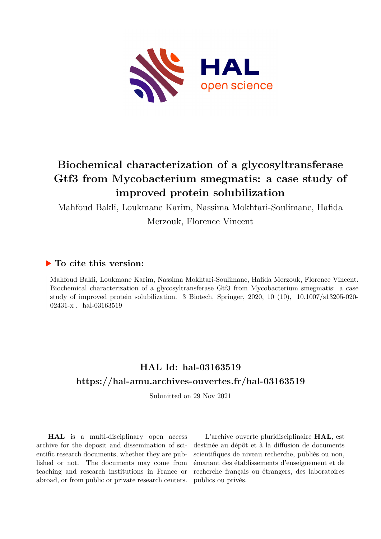

# **Biochemical characterization of a glycosyltransferase Gtf3 from Mycobacterium smegmatis: a case study of improved protein solubilization**

Mahfoud Bakli, Loukmane Karim, Nassima Mokhtari-Soulimane, Hafida

Merzouk, Florence Vincent

## **To cite this version:**

Mahfoud Bakli, Loukmane Karim, Nassima Mokhtari-Soulimane, Hafida Merzouk, Florence Vincent. Biochemical characterization of a glycosyltransferase Gtf3 from Mycobacterium smegmatis: a case study of improved protein solubilization. 3 Biotech, Springer,  $2020$ ,  $10$   $(10)$ ,  $10.1007/s13205-020 02431-x$ . hal-03163519

## **HAL Id: hal-03163519 <https://hal-amu.archives-ouvertes.fr/hal-03163519>**

Submitted on 29 Nov 2021

**HAL** is a multi-disciplinary open access archive for the deposit and dissemination of scientific research documents, whether they are published or not. The documents may come from teaching and research institutions in France or abroad, or from public or private research centers.

L'archive ouverte pluridisciplinaire **HAL**, est destinée au dépôt et à la diffusion de documents scientifiques de niveau recherche, publiés ou non, émanant des établissements d'enseignement et de recherche français ou étrangers, des laboratoires publics ou privés.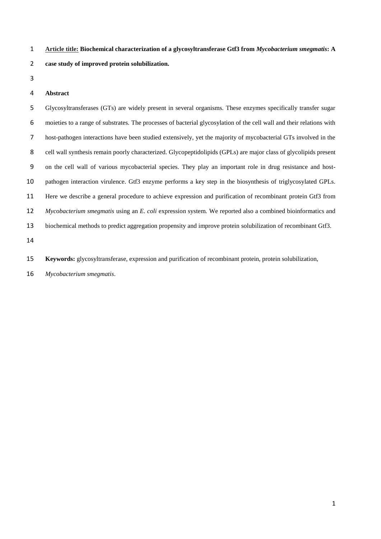**Article title: Biochemical characterization of a glycosyltransferase Gtf3 from** *Mycobacterium smegmatis***: A case study of improved protein solubilization.**

#### **Abstract**

 Glycosyltransferases (GTs) are widely present in several organisms. These enzymes specifically transfer sugar moieties to a range of substrates. The processes of bacterial glycosylation of the cell wall and their relations with host-pathogen interactions have been studied extensively, yet the majority of mycobacterial GTs involved in the cell wall synthesis remain poorly characterized. Glycopeptidolipids (GPLs) are major class of glycolipids present on the cell wall of various mycobacterial species. They play an important role in drug resistance and host- pathogen interaction virulence. Gtf3 enzyme performs a key step in the biosynthesis of triglycosylated GPLs. Here we describe a general procedure to achieve expression and purification of recombinant protein Gtf3 from *Mycobacterium smegmatis* using an *E. coli* expression system*.* We reported also a combined bioinformatics and biochemical methods to predict aggregation propensity and improve protein solubilization of recombinant Gtf3. 

**Keywords:** glycosyltransferase, expression and purification of recombinant protein, protein solubilization,

*Mycobacterium smegmatis*.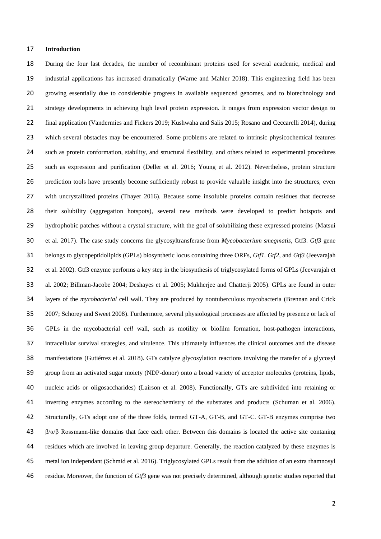#### **Introduction**

 During the four last decades, the number of recombinant proteins used for several academic, medical and industrial applications has increased dramatically [\(Warne and Mahler 2018\)](#page-18-0). This engineering field has been growing essentially due to considerable progress in available sequenced genomes, and to biotechnology and strategy developments in achieving high level protein expression. It ranges from expression vector design to final application [\(Vandermies and Fickers 2019;](#page-17-0) [Kushwaha and Salis](#page-16-0) 2015; [Rosano and Ceccarelli 2014\)](#page-17-1), during which several obstacles may be encountered. Some problems are related to intrinsic physicochemical features such as protein conformation, stability, and structural flexibility, and others related to experimental procedures such as expression and purification [\(Deller et al. 2016;](#page-15-0) [Young et al. 2012\)](#page-18-1). Nevertheless, protein structure prediction tools have presently become sufficiently robust to provide valuable insight into the structures, even with uncrystallized proteins [\(Thayer 2016\)](#page-17-2). Because some insoluble proteins contain residues that decrease their solubility (aggregation hotspots), several new methods were developed to predict hotspots and hydrophobic patches without a crystal structure, with the goal of solubilizing these expressed proteins [\(Matsui](#page-16-1)  [et al. 2017\)](#page-16-1). The case study concerns the glycosyltransferase from *Mycobacterium smegmatis*, Gtf3. *Gtf3* gene belongs to glycopeptidolipids (GPLs) biosynthetic locus containing three ORFs, *Gtf1. Gtf2*, and *Gtf3* [\(Jeevarajah](#page-16-2)  [et al. 2002\)](#page-16-2). Gtf3 enzyme performs a key step in the biosynthesis of triglycosylated forms of GPLs [\(Jeevarajah et](#page-16-2)  [al. 2002;](#page-16-2) [Billman-Jacobe 2004;](#page-15-1) [Deshayes et al. 2005;](#page-15-2) [Mukherjee and Chatterji 2005\)](#page-17-3). GPLs are found in outer layers of the *mycobacterial* cell wall. They are produced by nontuberculous mycobacteria [\(Brennan and Crick](#page-15-3)  [2007;](#page-15-3) [Schorey and Sweet 2008\)](#page-17-4). Furthermore, several physiological processes are affected by presence or lack of GPLs in the mycobacterial *cell* wall, such as motility or biofilm formation, host-pathogen interactions, intracellular survival strategies, and virulence. This ultimately influences the clinical outcomes and the disease manifestations [\(Gutiérrez et al. 2018\)](#page-16-3). GTs catalyze glycosylation reactions involving the transfer of a glycosyl group from an activated sugar moiety (NDP-donor) onto a broad variety of acceptor molecules (proteins, lipids, nucleic acids or oligosaccharides) [\(Lairson et al. 2008\)](#page-16-4). Functionally, GTs are subdivided into retaining or inverting enzymes according to the stereochemistry of the substrates and products [\(Schuman et al. 2006\)](#page-17-5). Structurally, GTs adopt one of the three folds, termed GT-A, GT-B, and GT-C. GT-B enzymes comprise two  $\beta/\alpha/\beta$  Rossmann-like domains that face each other. Between this domains is located the active site contaning residues which are involved in leaving group departure. Generally, the reaction catalyzed by these enzymes is metal ion independant [\(Schmid et al. 2016\)](#page-17-6). Triglycosylated GPLs result from the addition of an extra rhamnosyl residue. Moreover, the function of *Gtf3* gene was not precisely determined, although genetic studies reported that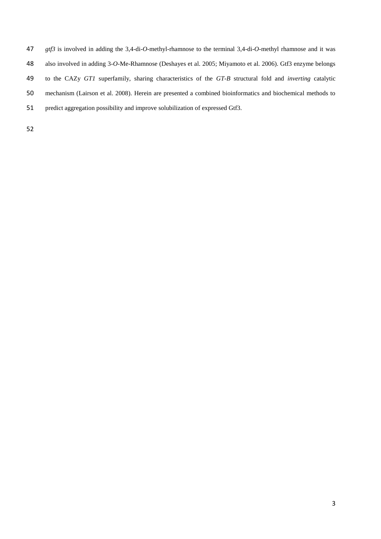- *gtf3* is involved in adding the 3,4-di-*O*-methyl-rhamnose to the terminal 3,4-di-*O*-methyl rhamnose and it was
- also involved in adding 3-*O*-Me-Rhamnose [\(Deshayes et al. 2005;](#page-15-2) [Miyamoto et al. 2006\)](#page-17-7). Gtf3 enzyme belongs
- to the CAZy *GT1* superfamily, sharing characteristics of the *GT-B* structural fold and *inverting* catalytic
- mechanism [\(Lairson et al. 2008\)](#page-16-4). Herein are presented a combined bioinformatics and biochemical methods to
- predict aggregation possibility and improve solubilization of expressed Gtf3.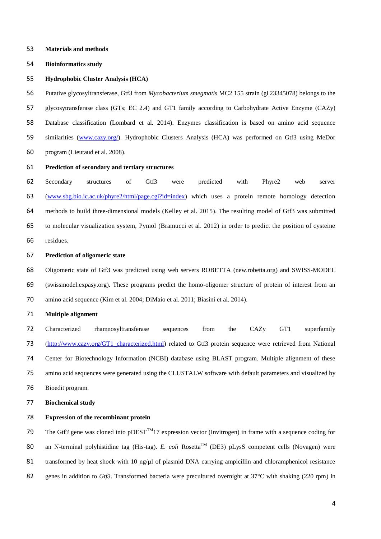- **Materials and methods**
- **Bioinformatics study**
- **Hydrophobic Cluster Analysis (HCA)**

Putative glycosyltransferase, Gtf3 from *Mycobacterium smegmatis* MC2 155 strain (gi|23345078) belongs to the

 glycosytransferase class (GTs; EC 2.4) and GT1 family according to Carbohydrate Active Enzyme (CAZy) Database classification [\(Lombard et al. 2014\)](#page-16-5). Enzymes classification is based on amino acid sequence similarities [\(www.cazy.org/\)](http://www.cazy.org/). Hydrophobic Clusters Analysis (HCA) was performed on Gtf3 using MeDor program [\(Lieutaud et al. 2008\)](#page-16-6).

**Prediction of secondary and tertiary structures**

 Secondary structures of Gtf3 were predicted with Phyre2 web server [\(www.sbg.bio.ic.ac.uk/phyre2/html/page.cgi?id=index\)](http://www.sbg.bio.ic.ac.uk/phyre2/html/page.cgi?id=index) which uses a protein remote homology detection methods to build three-dimensional models [\(Kelley et al. 2015\)](#page-16-7). The resulting model of Gtf3 was submitted to molecular visualization system, Pymol [\(Bramucci et al. 2012\)](#page-15-4) in order to predict the position of cysteine residues.

#### **Prediction of oligomeric state**

 Oligomeric state of Gtf3 was predicted using web servers ROBETTA (new.robetta.org) and SWISS-MODEL (swissmodel.expasy.org). These programs predict the homo-oligomer structure of protein of interest from an amino acid sequence [\(Kim et al. 2004;](#page-16-8) [DiMaio et al. 2011;](#page-15-5) [Biasini et al. 2014\)](#page-15-6).

#### **Multiple alignment**

 Characterized rhamnosyltransferase sequences from the CAZy GT1 superfamily 73 (http://www.cazy.org/GT1 characterized.html) related to Gtf3 protein sequence were retrieved from National Center for Biotechnology Information (NCBI) database using BLAST program. Multiple alignment of these amino acid sequences were generated using the CLUSTALW software with default parameters and visualized by Bioedit program.

**Biochemical study**

### **Expression of the recombinant protein**

The Gtf<sup>3</sup> gene was cloned into pDEST<sup>TM</sup>17 expression vector (Invitrogen) in frame with a sequence coding for 80 an N-terminal polyhistidine tag (His-tag). *E. coli* Rosetta<sup>TM</sup> (DE3) pLysS competent cells (Novagen) were 81 transformed by heat shock with 10 ng/µl of plasmid DNA carrying ampicillin and chloramphenicol resistance 82 genes in addition to *Gtf3*. Transformed bacteria were precultured overnight at 37<sup>o</sup>C with shaking (220 rpm) in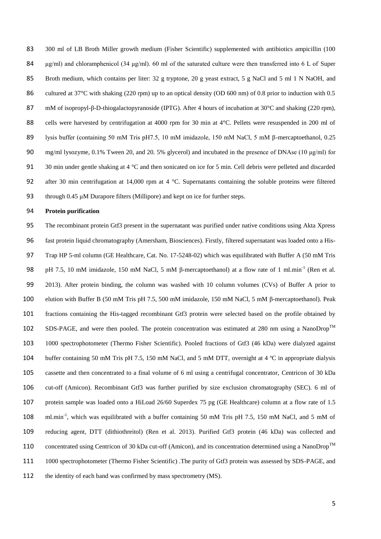83 300 ml of LB Broth Miller growth medium (Fisher Scientific) supplemented with antibiotics ampicillin (100 84 μg/ml) and chloramphenicol (34 μg/ml). 60 ml of the saturated culture were then transferred into 6 L of Super Broth medium, which contains per liter: 32 g tryptone, 20 g yeast extract, 5 g NaCl and 5 ml 1 N NaOH, and 86 cultured at 37°C with shaking (220 rpm) up to an optical density (OD 600 nm) of 0.8 prior to induction with 0.5 mM of isopropyl-β-D-thiogalactopyranoside (IPTG). After 4 hours of incubation at 30°C and shaking (220 rpm), 88 cells were harvested by centrifugation at 4000 rpm for 30 min at 4°C. Pellets were resuspended in 200 ml of lysis buffer (containing 50 mM Tris pH7.5, 10 mM imidazole, 150 mM NaCl, 5 mM β-mercaptoethanol, 0.25 mg/ml lysozyme, 0.1% Tween 20, and 20. 5% glycerol) and incubated in the presence of DNAse (10 μg/ml) for 30 min under gentle shaking at 4 °C and then sonicated on ice for 5 min. Cell debris were pelleted and discarded 92 after 30 min centrifugation at 14,000 rpm at 4 °C. Supernatants containing the soluble proteins were filtered 93 through 0.45 μM Durapore filters (Millipore) and kept on ice for further steps.

#### **Protein purification**

 The recombinant protein Gtf3 present in the supernatant was purified under native conditions using Akta Xpress fast protein liquid chromatography (Amersham, Biosciences). Firstly, filtered supernatant was loaded onto a His- Trap HP 5-ml column (GE Healthcare, Cat. No. 17-5248-02) which was equilibrated with Buffer A (50 mM Tris 98 pH 7.5, 10 mM imidazole, 150 mM NaCl, 5 mM β-mercaptoethanol) at a flow rate of 1 ml.min<sup>-1</sup> (Ren et al. [2013\)](#page-17-8). After protein binding, the column was washed with 10 column volumes (CVs) of Buffer A prior to elution with Buffer B (50 mM Tris pH 7.5, 500 mM imidazole, 150 mM NaCl, 5 mM β-mercaptoethanol). Peak fractions containing the His-tagged recombinant Gtf3 protein were selected based on the profile obtained by 102 SDS-PAGE, and were then pooled. The protein concentration was estimated at 280 nm using a NanoDrop<sup>TM</sup> 1000 spectrophotometer (Thermo Fisher Scientific). Pooled fractions of Gtf3 (46 kDa) were dialyzed against 104 buffer containing 50 mM Tris pH 7.5, 150 mM NaCl, and 5 mM DTT, overnight at 4 °C in appropriate dialysis cassette and then concentrated to a final volume of 6 ml using a centrifugal concentrator, Centricon of 30 kDa cut*-*off (Amicon). Recombinant Gtf3 was further purified by size exclusion chromatography (SEC). 6 ml of protein sample was loaded onto a HiLoad 26/60 Superdex 75 pg (GE Healthcare) column at a flow rate of 1.5 108 ml.min<sup>-1</sup>, which was equilibrated with a buffer containing 50 mM Tris pH 7.5, 150 mM NaCl, and 5 mM of reducing agent, DTT (dithiothreitol) [\(Ren et al. 2013\)](#page-17-8). Purified Gtf3 protein (46 kDa) was collected and 110 concentrated using Centricon of 30 kDa cut-off (Amicon), and its concentration determined using a NanoDrop<sup>TM</sup> 1000 spectrophotometer (Thermo Fisher Scientific) .The purity of Gtf3 protein was assessed by SDS-PAGE, and 112 the identity of each band was confirmed by mass spectrometry (MS).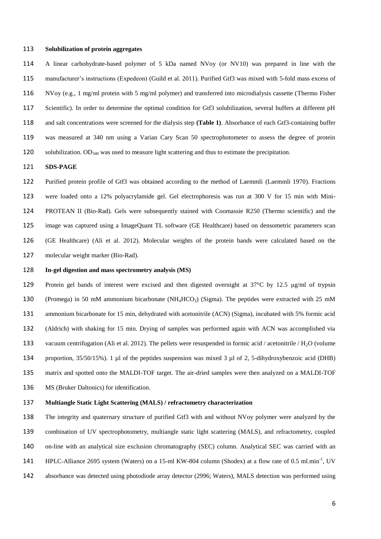#### **Solubilization of protein aggregates**

 A linear carbohydrate-based polymer of 5 kDa named NVoy (or NV10) was prepared in line with the manufacturer's instructions (Expedeon) [\(Guild et al. 2011\)](#page-16-9). Purified Gtf3 was mixed with 5-fold mass excess of NVoy (e.g., 1 mg/ml protein with 5 mg/ml polymer) and transferred into microdialysis cassette (Thermo Fisher Scientific). In order to determine the optimal condition for Gtf3 solubilization, several buffers at different pH and salt concentrations were screened for the dialysis step **(Table 1)**. Absorbance of each Gtf3-containing buffer was measured at 340 nm using a Varian Cary Scan 50 spectrophotometer to assess the degree of protein 120 solubilization.  $OD_{340}$  was used to measure light scattering and thus to estimate the precipitation.

#### **SDS-PAGE**

 Purified protein profile of Gtf3 was obtained according to the method of Laemmli [\(Laemmli 1970\)](#page-16-10). Fractions were loaded onto a 12% polyacrylamide gel. Gel electrophoresis was run at 300 V for 15 min with Mini- PROTEAN II (Bio-Rad). Gels were subsequently stained with Coomassie R250 (Thermo scientific) and the image was captured using a ImageQuant TL software (GE Healthcare) based on densometric parameters scan (GE Healthcare) [\(Ali et al. 2012\)](#page-15-7). Molecular weights of the protein bands were calculated based on the molecular weight marker (Bio-Rad).

#### **In-gel digestion and mass spectrometry analysis (MS)**

129 Protein gel bands of interest were excised and then digested overnight at 37°C by 12.5 μg/ml of trypsin 130 (Promega) in 50 mM ammonium bicarbonate (NH<sub>4</sub>HCO<sub>3</sub>) (Sigma). The peptides were extracted with 25 mM ammonium bicarbonate for 15 min, dehydrated with acetonitrile (ACN) (Sigma), incubated with 5% formic acid (Aldrich) with shaking for 15 min. Drying of samples was performed again with ACN was accomplished via 133 vacuum centrifugation [\(Ali et al. 2012\)](#page-15-7). The pellets were resuspended in formic acid / acetonitrile /  $H_2O$  (volume proportion, 35/50/15%). 1 µl of the peptides suspension was mixed 3 µl of 2, 5-dihydroxybenzoic acid (DHB) matrix and spotted onto the MALDI-TOF target. The air-dried samples were then analyzed on a MALDI-TOF MS (Bruker Daltonics) for identification.

#### **Multiangle Static Light Scattering (MALS) / refractometry characterization**

 The integrity and quaternary structure of purified Gtf3 with and without NVoy polymer were analyzed by the combination of UV spectrophotometry, multiangle static light scattering (MALS), and refractometry, coupled on-line with an analytical size exclusion chromatography (SEC) column. Analytical SEC was carried with an 141 HPLC-Alliance 2695 system (Waters) on a 15-ml KW-804 column (Shodex) at a flow rate of 0.5 ml.min<sup>-1</sup>, UV absorbance was detected using photodiode array detector (2996; Waters), MALS detection was performed using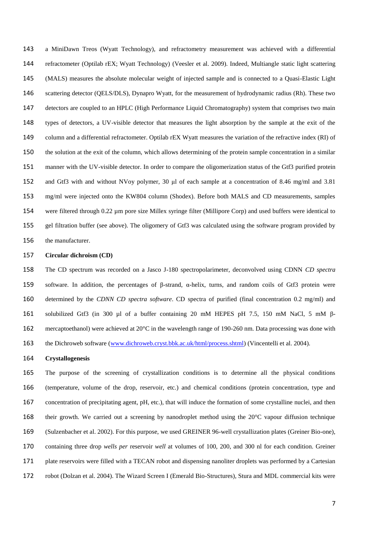a MiniDawn Treos (Wyatt Technology), and refractometry measurement was achieved with a differential refractometer (Optilab rEX; Wyatt Technology) [\(Veesler et al. 2009\)](#page-18-2). Indeed, Multiangle static light scattering (MALS) measures the absolute molecular weight of injected sample and is connected to a Quasi-Elastic Light scattering detector (QELS/DLS), Dynapro Wyatt, for the measurement of hydrodynamic radius (Rh). These two detectors are coupled to an HPLC (High Performance Liquid Chromatography) system that comprises two main types of detectors, a UV-visible detector that measures the light absorption by the sample at the exit of the column and a differential refractometer. Optilab rEX Wyatt measures the variation of the refractive index (RI) of the solution at the exit of the column, which allows determining of the protein sample concentration in a similar manner with the UV-visible detector. In order to compare the oligomerization status of the Gtf3 purified protein and Gtf3 with and without NVoy polymer, 30 μl of each sample at a concentration of 8.46 mg/ml and 3.81 mg/ml were injected onto the KW804 column (Shodex). Before both MALS and CD measurements, samples were filtered through 0.22 µm pore size Millex syringe filter (Millipore Corp) and used buffers were identical to gel filtration buffer (see above). The oligomery of Gtf3 was calculated using the software program provided by the manufacturer.

#### **Circular dichroism (CD)**

 The CD spectrum was recorded on a Jasco J-180 spectropolarimeter, deconvolved using CDNN *CD spectra* software. In addition, the percentages of β-strand, α-helix, turns, and random coils of Gtf3 protein were determined by the *CDNN CD spectra software*. CD spectra of purified (final concentration 0.2 mg/ml) and solubilized Gtf3 (in 300 µl of a buffer containing 20 mM HEPES pH 7.5, 150 mM NaCl, 5 mM β- mercaptoethanol) were achieved at 20°C in the wavelength range of 190-260 nm. Data processing was done with 163 the Dichroweb software [\(www.dichroweb.cryst.bbk.ac.uk/html/process.shtml\)](http://www.dichroweb.cryst.bbk.ac.uk/html/process.shtml) [\(Vincentelli et al. 2004\)](#page-18-3).

#### **Crystallogenesis**

 The purpose of the screening of crystallization conditions is to determine all the physical conditions (temperature, volume of the drop, reservoir, etc.) and chemical conditions (protein concentration, type and concentration of precipitating agent, pH, etc.), that will induce the formation of some crystalline nuclei, and then their growth. We carried out a screening by nanodroplet method using the 20°C vapour diffusion technique [\(Sulzenbacher et al. 2002\)](#page-17-9). For this purpose, we used GREINER 96-well crystallization plates (Greiner Bio-one), containing three drop *wells per* reservoir *well* at volumes of 100, 200, and 300 nl for each condition. Greiner plate reservoirs were filled with a TECAN robot and dispensing nanoliter droplets was performed by a Cartesian robot [\(Dolzan et al. 2004\)](#page-16-11). The Wizard Screen I (Emerald Bio-Structures), Stura and MDL commercial kits were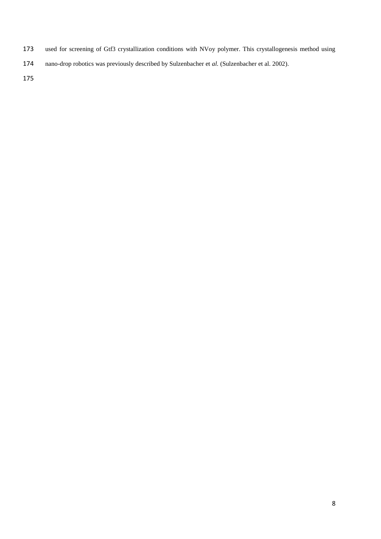- used for screening of Gtf3 crystallization conditions with NVoy polymer. This crystallogenesis method using
- nano-drop robotics was previously described by Sulzenbacher et *al.* [\(Sulzenbacher et al. 2002\)](#page-17-9).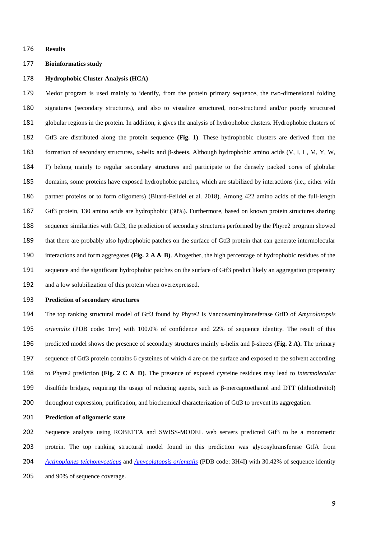#### **Results**

#### **Bioinformatics study**

#### **Hydrophobic Cluster Analysis (HCA)**

 Medor program is used mainly to identify, from the protein primary sequence, the two-dimensional folding signatures (secondary structures), and also to visualize structured, non-structured and/or poorly structured globular regions in the protein. In addition, it gives the analysis of hydrophobic clusters. Hydrophobic clusters of Gtf3 are distributed along the protein sequence **(Fig. 1)**. These hydrophobic clusters are derived from the formation of secondary structures, α-helix and β-sheets. Although hydrophobic amino acids (V, I, L, M, Y, W, F) belong mainly to regular secondary structures and participate to the densely packed cores of globular domains, some proteins have exposed hydrophobic patches, which are stabilized by interactions (i.e., either with 186 partner proteins or to form oligomers) (Bitard-[Feildel et al. 2018\)](#page-15-8). Among 422 amino acids of the full-length Gtf3 protein, 130 amino acids are hydrophobic (30%). Furthermore, based on known protein structures sharing sequence similarities with Gtf3, the prediction of secondary structures performed by the Phyre2 program showed that there are probably also hydrophobic patches on the surface of Gtf3 protein that can generate intermolecular interactions and form aggregates **(Fig. 2 A & B)**. Altogether, the high percentage of hydrophobic residues of the sequence and the significant hydrophobic patches on the surface of Gtf3 predict likely an aggregation propensity and a low solubilization of this protein when overexpressed.

#### **Prediction of secondary structures**

 The top ranking structural model of Gtf3 found by Phyre2 is Vancosaminyltransferase GtfD of *Amycolatopsis orientalis* (PDB code: 1rrv) with 100.0% of confidence and 22% of sequence identity. The result of this predicted model shows the presence of secondary structures mainly α-helix and β-sheets **(Fig. 2 A).** The primary sequence of Gtf3 protein contains 6 cysteines of which 4 are on the surface and exposed to the solvent according to Phyre2 prediction **(Fig. 2 C & D)**. The presence of exposed cysteine residues may lead to *intermolecular* disulfide bridges, requiring the usage of reducing agents, such as β-mercaptoethanol and DTT (dithiothreitol) throughout expression, purification, and biochemical characterization of Gtf3 to prevent its aggregation.

#### **Prediction of oligomeric state**

 Sequence analysis using ROBETTA and SWISS-MODEL web servers predicted Gtf3 to be a monomeric protein. The top ranking structural model found in this prediction was glycosyltransferase GtfA from *[Actinoplanes teichomyceticus](https://www.rcsb.org/pdb/search/smartSubquery.do?smartSearchSubtype=TreeEntityQuery&t=1&n=1867)* and *[Amycolatopsis orientalis](https://www.rcsb.org/pdb/search/smartSubquery.do?smartSearchSubtype=TreeEntityQuery&t=1&n=31958)* (PDB code: 3H4I) with 30.42% of sequence identity and 90% of sequence coverage.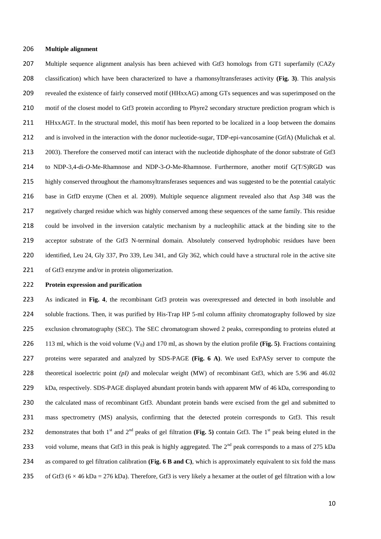#### **Multiple alignment**

 Multiple sequence alignment analysis has been achieved with Gtf3 homologs from GT1 superfamily (CAZy classification) which have been characterized to have a rhamonsyltransferases activity **(Fig. 3)**. This analysis revealed the existence of fairly conserved motif (HHxxAG) among GTs sequences and was superimposed on the 210 motif of the closest model to Gtf3 protein according to Phyre2 secondary structure prediction program which is HHxxAGT. In the structural model, this motif has been reported to be localized in a loop between the domains 212 and is involved in the interaction with the donor nucleotide-sugar, TDP-epi-vancosamine (GtfA) (Mulichak et al. [2003\)](#page-17-10). Therefore the conserved motif can interact with the nucleotide diphosphate of the donor substrate of Gtf3 to NDP-3,4-di-*O*-Me-Rhamnose and NDP-3-*O*-Me-Rhamnose. Furthermore, another motif G(T/S)RGD was highly conserved throughout the rhamonsyltransferases sequences and was suggested to be the potential catalytic base in GtfD enzyme [\(Chen et al. 2009\)](#page-15-9). Multiple sequence alignment revealed also that Asp 348 was the negatively charged residue which was highly conserved among these sequences of the same family. This residue could be involved in the inversion catalytic mechanism by a nucleophilic attack at the binding site to the acceptor substrate of the Gtf3 N-terminal domain. Absolutely conserved hydrophobic residues have been identified, Leu 24, Gly 337, Pro 339, Leu 341, and Gly 362, which could have a structural role in the active site of Gtf3 enzyme and/or in protein oligomerization.

#### **Protein expression and purification**

 As indicated in **Fig. 4**, the recombinant Gtf3 protein was overexpressed and detected in both insoluble and 224 soluble fractions. Then, it was purified by His-Trap HP 5-ml column affinity chromatography followed by size 225 exclusion chromatography (SEC). The SEC chromatogram showed 2 peaks, corresponding to proteins eluted at 226 113 ml, which is the void volume  $(V_0)$  and 170 ml, as shown by the elution profile **(Fig. 5)**. Fractions containing proteins were separated and analyzed by SDS-PAGE **(Fig. 6 A)**. We used ExPASy server to compute the 228 theoretical isoelectric point *(pI)* and molecular weight (MW) of recombinant Gtf3, which are 5.96 and 46.02 kDa, respectively. SDS-PAGE displayed abundant protein bands with apparent MW of 46 kDa, corresponding to the calculated mass of recombinant Gtf3. Abundant protein bands were excised from the gel and submitted to 231 mass spectrometry (MS) analysis, confirming that the detected protein corresponds to Gtf3. This result 232 demonstrates that both  $1<sup>st</sup>$  and  $2<sup>nd</sup>$  peaks of gel filtration (Fig. 5) contain Gtf3. The  $1<sup>st</sup>$  peak being eluted in the 233 void volume, means that Gtf3 in this peak is highly aggregated. The  $2^{nd}$  peak corresponds to a mass of 275 kDa as compared to gel filtration calibration **(Fig. 6 B and C)**, which is approximately equivalent to six fold the mass 235 of Gtf3 ( $6 \times 46$  kDa = 276 kDa). Therefore, Gtf3 is very likely a hexamer at the outlet of gel filtration with a low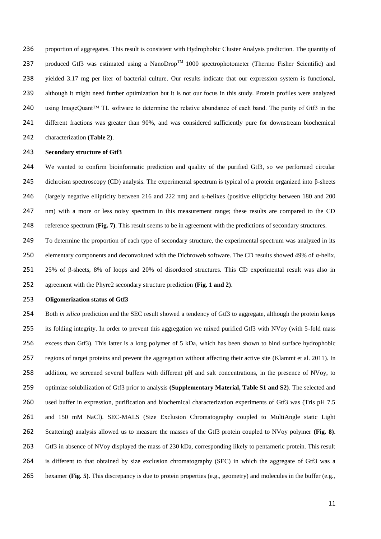proportion of aggregates. This result is consistent with Hydrophobic Cluster Analysis prediction. The quantity of 237 produced Gtf3 was estimated using a NanoDrop<sup>TM</sup> 1000 spectrophotometer (Thermo Fisher Scientific) and yielded 3.17 mg per liter of bacterial culture. Our results indicate that our expression system is functional, although it might need further optimization but it is not our focus in this study. Protein profiles were analyzed using ImageQuant™ TL software to determine the relative abundance of each band. The purity of Gtf3 in the different fractions was greater than 90%, and was considered sufficiently pure for downstream biochemical characterization **(Table 2)**.

#### **Secondary structure of Gtf3**

 We wanted to confirm bioinformatic prediction and quality of the purified Gtf3, so we performed circular dichroism spectroscopy (CD) analysis. The experimental spectrum is typical of a protein organized into β-sheets (largely negative ellipticity between 216 and 222 nm) and α-helixes (positive ellipticity between 180 and 200 nm) with a more or less noisy spectrum in this measurement range; these results are compared to the CD reference spectrum (**Fig. 7)**. This result seems to be in agreement with the predictions of secondary structures.

249 To determine the proportion of each type of secondary structure, the experimental spectrum was analyzed in its 250 elementary components and deconvoluted with the Dichroweb software. The CD results showed 49% of  $\alpha$ -helix, 25% of β-sheets, 8% of loops and 20% of disordered structures. This CD experimental result was also in agreement with the Phyre2 secondary structure prediction **(Fig. 1 and 2)**.

#### **Oligomerization status of Gtf3**

 Both *in silico* prediction and the SEC result showed a tendency of Gtf3 to aggregate, although the protein keeps its folding integrity. In order to prevent this aggregation we mixed purified Gtf3 with NVoy (with 5-fold mass excess than Gtf3). This latter is a long polymer of 5 kDa, which has been shown to bind surface hydrophobic regions of target proteins and prevent the aggregation without affecting their active site [\(Klammt et al. 2011\)](#page-16-12). In addition, we screened several buffers with different pH and salt concentrations, in the presence of NVoy, to optimize solubilization of Gtf3 prior to analysis **(Supplementary Material, Table S1 and S2)**. The selected and used buffer in expression, purification and biochemical characterization experiments of Gtf3 was (Tris pH 7.5 and 150 mM NaCl). SEC-MALS (Size Exclusion Chromatography coupled to MultiAngle static Light Scattering) analysis allowed us to measure the masses of the Gtf3 protein coupled to NVoy polymer **(Fig. 8)**. Gtf3 in absence of NVoy displayed the mass of 230 kDa, corresponding likely to pentameric protein. This result is different to that obtained by size exclusion chromatography (SEC) in which the aggregate of Gtf3 was a hexamer **(Fig. 5)**. This discrepancy is due to protein properties (e.g., geometry) and molecules in the buffer (e.g.,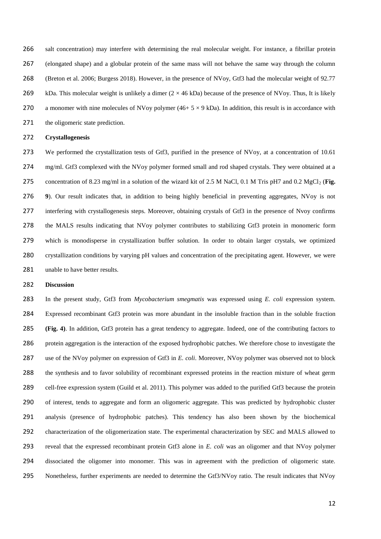salt concentration) may interfere with determining the real molecular weight. For instance, a fibrillar protein (elongated shape) and a globular protein of the same mass will not behave the same way through the column [\(Breton et al. 2006;](#page-15-10) [Burgess 2018\)](#page-15-11). However, in the presence of NVoy, Gtf3 had the molecular weight of 92.77 269 kDa. This molecular weight is unlikely a dimer  $(2 \times 46 \text{ kDa})$  because of the presence of NVoy. Thus, It is likely 270 a monomer with nine molecules of NVoy polymer (46+  $5 \times 9$  kDa). In addition, this result is in accordance with

271 the oligomeric state prediction.

## **Crystallogenesis**

 We performed the crystallization tests of Gtf3, purified in the presence of NVoy, at a concentration of 10.61 mg/ml. Gtf3 complexed with the NVoy polymer formed small and rod shaped crystals. They were obtained at a 275 concentration of 8.23 mg/ml in a solution of the wizard kit of 2.5 M NaCl, 0.1 M Tris pH7 and 0.2 MgCl<sub>2</sub> (**Fig. 9**). Our result indicates that, in addition to being highly beneficial in preventing aggregates, NVoy is not interfering with crystallogenesis steps. Moreover, obtaining crystals of Gtf3 in the presence of Nvoy confirms the MALS results indicating that NVoy polymer contributes to stabilizing Gtf3 protein in monomeric form which is monodisperse in crystallization buffer solution. In order to obtain larger crystals, we optimized crystallization conditions by varying pH values and concentration of the precipitating agent. However, we were 281 unable to have better results.

#### **Discussion**

 In the present study, Gtf3 from *Mycobacterium smegmatis* was expressed using *E. coli* expression system. Expressed recombinant Gtf3 protein was more abundant in the insoluble fraction than in the soluble fraction **(Fig. 4)**. In addition, Gtf3 protein has a great tendency to aggregate. Indeed, one of the contributing factors to protein aggregation is the interaction of the exposed hydrophobic patches. We therefore chose to investigate the use of the NVoy polymer on expression of Gtf3 in *E. coli*. Moreover, NVoy polymer was observed not to block the synthesis and to favor solubility of recombinant expressed proteins in the reaction mixture of wheat germ cell-free expression system [\(Guild et al. 2011\)](#page-16-9). This polymer was added to the purified Gtf3 because the protein of interest, tends to aggregate and form an oligomeric aggregate. This was predicted by hydrophobic cluster analysis (presence of hydrophobic patches). This tendency has also been shown by the biochemical characterization of the oligomerization state. The experimental characterization by SEC and MALS allowed to reveal that the expressed recombinant protein Gtf3 alone in *E. coli* was an oligomer and that NVoy polymer dissociated the oligomer into monomer. This was in agreement with the prediction of oligomeric state. 295 Nonetheless, further experiments are needed to determine the Gtf3/NVoy ratio. The result indicates that NVoy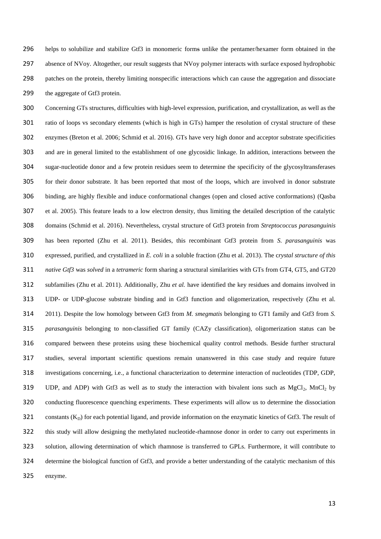helps to solubilize and stabilize Gtf3 in monomeric forms unlike the pentamer/hexamer form obtained in the absence of NVoy. Altogether, our result suggests that NVoy polymer interacts with surface exposed hydrophobic patches on the protein, thereby limiting nonspecific interactions which can cause the aggregation and dissociate 299 the aggregate of Gtf3 protein.

 Concerning GTs structures, difficulties with high-level expression, purification, and crystallization, as well as the ratio of loops vs secondary elements (which is high in GTs) hamper the resolution of crystal structure of these enzymes [\(Breton et al. 2006;](#page-15-10) [Schmid et al. 2016\)](#page-17-6). GTs have very high donor and acceptor substrate specificities and are in general limited to the establishment of one glycosidic linkage. In addition, interactions between the sugar-nucleotide donor and a few protein residues seem to determine the specificity of the glycosyltransferases for their donor substrate. It has been reported that most of the loops, which are involved in donor substrate binding, are highly flexible and induce conformational changes (open and closed active conformations) [\(Qasba](#page-17-11)  [et al. 2005\)](#page-17-11). This feature leads to a low electron density, thus limiting the detailed description of the catalytic domains [\(Schmid et al. 2016\)](#page-17-6). Nevertheless, crystal structure of Gtf3 protein from *Streptococcus parasanguinis*  has been reported [\(Zhu et al. 2011\)](#page-18-4). Besides, this recombinant Gtf3 protein from *S. parasanguinis* was expressed, purified, and crystallized in *E. coli* in a soluble fraction [\(Zhu et al. 2013\)](#page-18-5). The c*rystal structure of this native Gtf3* was *solved* in a *tetrameric* form sharing a structural similarities with GTs from GT4, GT5, and GT20 subfamilies [\(Zhu et al. 2011\)](#page-18-4). Additionally, Zhu *et al.* have identified the key residues and domains involved in UDP- or UDP-glucose substrate binding and in Gtf3 function and oligomerization, respectively [\(Zhu et al.](#page-18-4)  [2011\)](#page-18-4). Despite the low homology between Gtf3 from *M. smegmatis* belonging to GT1 family and Gtf3 from *S. parasanguinis* belonging to non-classified GT family (CAZy classification)*,* oligomerization status can be compared between these proteins using these biochemical quality control methods. Beside further structural studies, several important scientific questions remain unanswered in this case study and require future investigations concerning, i.e., a functional characterization to determine interaction of nucleotides (TDP, GDP, 319 UDP, and ADP) with Gtf3 as well as to study the interaction with bivalent ions such as  $MgCl_2$ , MnCl<sub>2</sub> by conducting fluorescence quenching experiments. These experiments will allow us to determine the dissociation 321 constants  $(K_D)$  for each potential ligand, and provide information on the enzymatic kinetics of Gtf3. The result of this study will allow designing the methylated nucleotide-rhamnose donor in order to carry out experiments in solution, allowing determination of which rhamnose is transferred to GPLs. Furthermore, it will contribute to determine the biological function of Gtf3, and provide a better understanding of the catalytic mechanism of this enzyme.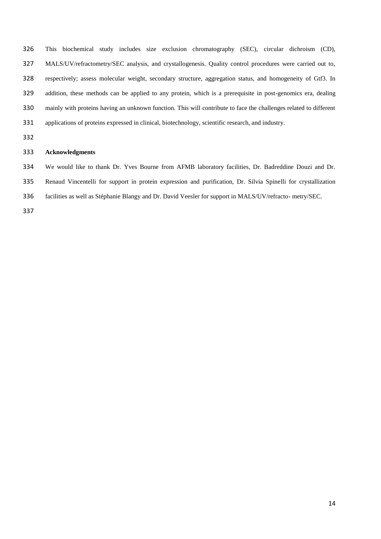This biochemical study includes size exclusion chromatography (SEC), circular dichroism (CD), MALS/UV/refractometry/SEC analysis, and crystallogenesis. Quality control procedures were carried out to, respectively; assess molecular weight, secondary structure, aggregation status, and homogeneity of Gtf3. In addition, these methods can be applied to any protein, which is a prerequisite in post-genomics era, dealing mainly with proteins having an unknown function. This will contribute to face the challenges related to different applications of proteins expressed in clinical, biotechnology, scientific research, and industry.

## **Acknowledgments**

We would like to thank Dr. Yves Bourne from AFMB laboratory facilities, Dr. Badreddine Douzi and Dr.

Renaud Vincentelli for support in protein expression and purification, Dr. Silvia Spinelli for crystallization

facilities as well as Stéphanie Blangy and Dr. David Veesler for support in MALS/UV/refracto- metry/SEC.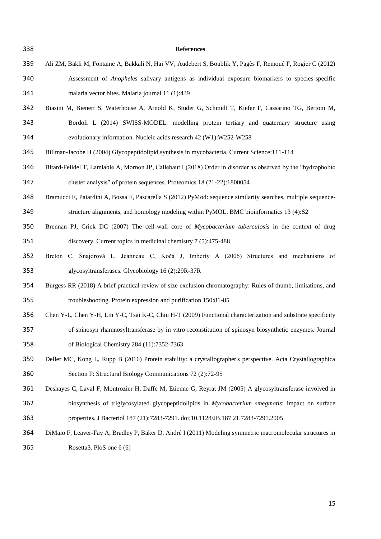<span id="page-15-11"></span><span id="page-15-10"></span><span id="page-15-9"></span><span id="page-15-8"></span><span id="page-15-7"></span><span id="page-15-6"></span><span id="page-15-5"></span><span id="page-15-4"></span><span id="page-15-3"></span><span id="page-15-2"></span><span id="page-15-1"></span><span id="page-15-0"></span> **References** Ali ZM, Bakli M, Fontaine A, Bakkali N, Hai VV, Audebert S, Boublik Y, Pagès F, Remoué F, Rogier C (2012) Assessment of *Anopheles* salivary antigens as individual exposure biomarkers to species-specific malaria vector bites. Malaria journal 11 (1):439 Biasini M, Bienert S, Waterhouse A, Arnold K, Studer G, Schmidt T, Kiefer F, Cassarino TG, Bertoni M, Bordoli L (2014) SWISS-MODEL: modelling protein tertiary and quaternary structure using evolutionary information. Nucleic acids research 42 (W1):W252-W258 Billman-Jacobe H (2004) Glycopeptidolipid synthesis in mycobacteria. Current Science:111-114 Bitard‐Feildel T, Lamiable A, Mornon JP, Callebaut I (2018) Order in disorder as observed by the "hydrophobic cluster analysis" of protein sequences. Proteomics 18 (21-22):1800054 Bramucci E, Paiardini A, Bossa F, Pascarella S (2012) PyMod: sequence similarity searches, multiple sequence- structure alignments, and homology modeling within PyMOL. BMC bioinformatics 13 (4):S2 Brennan PJ, Crick DC (2007) The cell-wall core of *Mycobacterium tuberculosis* in the context of drug discovery. Current topics in medicinal chemistry 7 (5):475-488 Breton C, Šnajdrová L, Jeanneau C, Koča J, Imberty A (2006) Structures and mechanisms of glycosyltransferases. Glycobiology 16 (2):29R-37R Burgess RR (2018) A brief practical review of size exclusion chromatography: Rules of thumb, limitations, and troubleshooting. Protein expression and purification 150:81-85 Chen Y-L, Chen Y-H, Lin Y-C, Tsai K-C, Chiu H-T (2009) Functional characterization and substrate specificity of spinosyn rhamnosyltransferase by in vitro reconstitution of spinosyn biosynthetic enzymes. Journal of Biological Chemistry 284 (11):7352-7363 Deller MC, Kong L, Rupp B (2016) Protein stability: a crystallographer's perspective. Acta Crystallographica Section F: Structural Biology Communications 72 (2):72-95 Deshayes C, Laval F, Montrozier H, Daffe M, Etienne G, Reyrat JM (2005) A glycosyltransferase involved in biosynthesis of triglycosylated glycopeptidolipids in *Mycobacterium smegmatis*: impact on surface properties. J Bacteriol 187 (21):7283-7291. doi:10.1128/JB.187.21.7283-7291.2005 DiMaio F, Leaver-Fay A, Bradley P, Baker D, André I (2011) Modeling symmetric macromolecular structures in Rosetta3. PloS one 6 (6)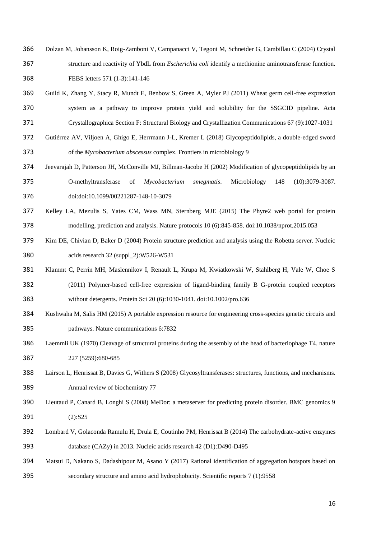- <span id="page-16-11"></span>Dolzan M, Johansson K, Roig-Zamboni V, Campanacci V, Tegoni M, Schneider G, Cambillau C (2004) Crystal
- structure and reactivity of YbdL from *Escherichia coli* identify a methionine aminotransferase function. FEBS letters 571 (1-3):141-146
- <span id="page-16-9"></span> Guild K, Zhang Y, Stacy R, Mundt E, Benbow S, Green A, Myler PJ (2011) Wheat germ cell-free expression system as a pathway to improve protein yield and solubility for the SSGCID pipeline. Acta Crystallographica Section F: Structural Biology and Crystallization Communications 67 (9):1027-1031
- <span id="page-16-3"></span> Gutiérrez AV, Viljoen A, Ghigo E, Herrmann J-L, Kremer L (2018) Glycopeptidolipids, a double-edged sword of the *Mycobacterium abscessus* complex. Frontiers in microbiology 9
- <span id="page-16-2"></span> Jeevarajah D, Patterson JH, McConville MJ, Billman-Jacobe H (2002) Modification of glycopeptidolipids by an O-methyltransferase of *Mycobacterium smegmatis*. Microbiology 148 (10):3079-3087. doi:doi:10.1099/00221287-148-10-3079
- <span id="page-16-7"></span> Kelley LA, Mezulis S, Yates CM, Wass MN, Sternberg MJE (2015) The Phyre2 web portal for protein modelling, prediction and analysis. Nature protocols 10 (6):845-858. doi:10.1038/nprot.2015.053
- <span id="page-16-8"></span> Kim DE, Chivian D, Baker D (2004) Protein structure prediction and analysis using the Robetta server. Nucleic acids research 32 (suppl\_2):W526-W531
- <span id="page-16-12"></span> Klammt C, Perrin MH, Maslennikov I, Renault L, Krupa M, Kwiatkowski W, Stahlberg H, Vale W, Choe S (2011) Polymer-based cell-free expression of ligand-binding family B G-protein coupled receptors without detergents. Protein Sci 20 (6):1030-1041. doi:10.1002/pro.636
- <span id="page-16-0"></span> Kushwaha M, Salis HM (2015) A portable expression resource for engineering cross-species genetic circuits and pathways. Nature communications 6:7832
- <span id="page-16-10"></span> Laemmli UK (1970) Cleavage of structural proteins during the assembly of the head of bacteriophage T4. nature 227 (5259):680-685
- <span id="page-16-4"></span> Lairson L, Henrissat B, Davies G, Withers S (2008) Glycosyltransferases: structures, functions, and mechanisms. Annual review of biochemistry 77
- <span id="page-16-6"></span> Lieutaud P, Canard B, Longhi S (2008) MeDor: a metaserver for predicting protein disorder. BMC genomics 9 (2):S25
- <span id="page-16-5"></span> Lombard V, Golaconda Ramulu H, Drula E, Coutinho PM, Henrissat B (2014) The carbohydrate-active enzymes database (CAZy) in 2013. Nucleic acids research 42 (D1):D490-D495
- <span id="page-16-1"></span> Matsui D, Nakano S, Dadashipour M, Asano Y (2017) Rational identification of aggregation hotspots based on secondary structure and amino acid hydrophobicity. Scientific reports 7 (1):9558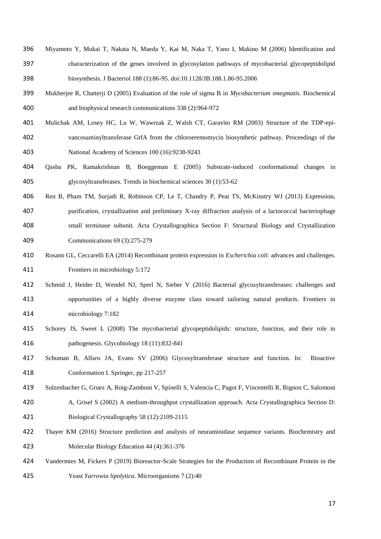- <span id="page-17-7"></span> Miyamoto Y, Mukai T, Nakata N, Maeda Y, Kai M, Naka T, Yano I, Makino M (2006) Identification and characterization of the genes involved in glycosylation pathways of mycobacterial glycopeptidolipid biosynthesis. J Bacteriol 188 (1):86-95. doi:10.1128/JB.188.1.86-95.2006
- <span id="page-17-3"></span> Mukherjee R, Chatterji D (2005) Evaluation of the role of sigma B in *Mycobacterium smegmatis*. Biochemical and biophysical research communications 338 (2):964-972
- <span id="page-17-10"></span> Mulichak AM, Losey HC, Lu W, Wawrzak Z, Walsh CT, Garavito RM (2003) Structure of the TDP-epi- vancosaminyltransferase GtfA from the chloroeremomycin biosynthetic pathway. Proceedings of the National Academy of Sciences 100 (16):9238-9243
- <span id="page-17-11"></span> Qasba PK, Ramakrishnan B, Boeggeman E (2005) Substrate-induced conformational changes in glycosyltransferases. Trends in biochemical sciences 30 (1):53-62
- <span id="page-17-8"></span> Ren B, Pham TM, Surjadi R, Robinson CP, Le T, Chandry P, Peat TS, McKinstry WJ (2013) Expression, purification, crystallization and preliminary X-ray diffraction analysis of a lactococcal bacteriophage small terminase subunit. Acta Crystallographica Section F: Structural Biology and Crystallization Communications 69 (3):275-279
- <span id="page-17-1"></span> Rosano GL, Ceccarelli EA (2014) Recombinant protein expression in *Escherichia coli*: advances and challenges. Frontiers in microbiology 5:172
- <span id="page-17-6"></span> Schmid J, Heider D, Wendel NJ, Sperl N, Sieber V (2016) Bacterial glycosyltransferases: challenges and opportunities of a highly diverse enzyme class toward tailoring natural products. Frontiers in microbiology 7:182
- <span id="page-17-4"></span> Schorey JS, Sweet L (2008) The mycobacterial glycopeptidolipids: structure, function, and their role in pathogenesis. Glycobiology 18 (11):832-841
- <span id="page-17-5"></span> Schuman B, Alfaro JA, Evans SV (2006) Glycosyltransferase structure and function. In: Bioactive Conformation I. Springer, pp 217-257
- <span id="page-17-9"></span>Sulzenbacher G, Gruez A, Roig-Zamboni V, Spinelli S, Valencia C, Pagot F, Vincentelli R, Bignon C, Salomoni
- A, Grisel S (2002) A medium-throughput crystallization approach. Acta Crystallographica Section D: Biological Crystallography 58 (12):2109-2115
- <span id="page-17-2"></span> Thayer KM (2016) Structure prediction and analysis of neuraminidase sequence variants. Biochemistry and Molecular Biology Education 44 (4):361-376
- <span id="page-17-0"></span> Vandermies M, Fickers P (2019) Bioreactor-Scale Strategies for the Production of Recombinant Protein in the Yeast *Yarrowia lipolytica*. Microorganisms 7 (2):40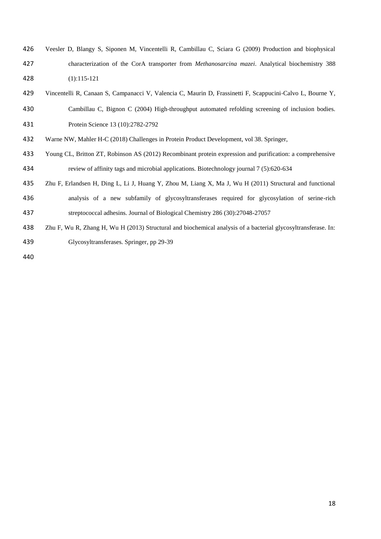- <span id="page-18-2"></span> Veesler D, Blangy S, Siponen M, Vincentelli R, Cambillau C, Sciara G (2009) Production and biophysical characterization of the CorA transporter from *Methanosarcina mazei*. Analytical biochemistry 388 (1):115-121
- <span id="page-18-3"></span>Vincentelli R, Canaan S, Campanacci V, Valencia C, Maurin D, Frassinetti F, Scappucini‐Calvo L, Bourne Y,
- 430 Cambillau C, Bignon C (2004) High-throughput automated refolding screening of inclusion bodies. Protein Science 13 (10):2782-2792
- <span id="page-18-0"></span>Warne NW, Mahler H-C (2018) Challenges in Protein Product Development, vol 38. Springer,
- <span id="page-18-1"></span> Young CL, Britton ZT, Robinson AS (2012) Recombinant protein expression and purification: a comprehensive review of affinity tags and microbial applications. Biotechnology journal 7 (5):620-634
- <span id="page-18-4"></span>Zhu F, Erlandsen H, Ding L, Li J, Huang Y, Zhou M, Liang X, Ma J, Wu H (2011) Structural and functional
- analysis of a new subfamily of glycosyltransferases required for glycosylation of serine-rich streptococcal adhesins. Journal of Biological Chemistry 286 (30):27048-27057
- <span id="page-18-5"></span>Zhu F, Wu R, Zhang H, Wu H (2013) Structural and biochemical analysis of a bacterial glycosyltransferase. In:
- Glycosyltransferases. Springer, pp 29-39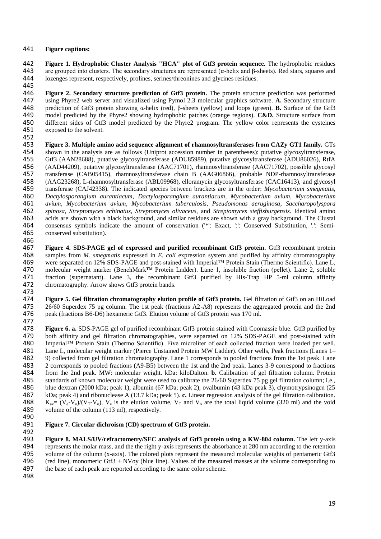## 441 **Figure captions:**

442 **Figure 1. Hydrophobic Cluster Analysis "HCA" plot of Gtf3 protein sequence.** The hydrophobic residues are grouped into clusters. The secondary structures are represented ( $\alpha$ -helix and β-sheets). Red stars, squares and 444 lozenges represent, respectively, prolines, serines/threonines and glycines residues. lozenges represent, respectively, prolines, serines/threonines and glycines residues.

445<br>446 446 **Figure 2. Secondary structure prediction of Gtf3 protein.** The protein structure prediction was performed 447 using Phyre2 web server and visualized using Pymol 2.3 molecular graphics software. **A.** Secondary structure 448 prediction of Gtf3 protein showing α-helix (red), β-sheets (yellow) and loops (green). **B.** Surface of the Gtf3 449 model predicted by the Phyre2 showing hydrophobic patches (orange regions). **C&D.** Structure surface from different sides of Gtf3 model predicted by the Phyre2 program. The yellow color represents the cysteines 450 different sides of Gtf3 model predicted by the Phyre2 program. The yellow color represents the cysteines exposed to the solvent. exposed to the solvent.

452<br>453

 **Figure 3. Multiple amino acid sequence alignment of rhamnosyltransferases from CAZy GT1 family.** GTs 454 shown in the analysis are as follows (Uniprot accession number in parentheses): putative glycosyltransferase, 455 Gtf3 (AAN28688), putative glycosyltransferase (ADU85989), putative glycosyltransferase (ADU86026), RtfA Gtf3 (AAN28688), putative glycosyltransferase (ADU85989), putative glycosyltransferase (ADU86026), RtfA (AAD44209), putative glycosyltransferase (AAC71701), rhamnosyltransferase (AAC71702), possible glycosyl transferase (CAB05415), rhamnosyltransferase chain B (AAG06866), probable NDP-rhamnosyltransferase 458 (AAG23268), L-rhamnosyltransferase (ABL09968), elloramycin glycosyltransferase (CAC16413), and glycosyl<br>459 transferase (CAJ42338). The indicated species between brackets are in the order: *Mycobacterium smegmatis*, transferase (CAJ42338). The indicated species between brackets are in the order: *Mycobacterium smegmatis*, *Dactylosporangium aurantiacum*, *Dactylosporangium aurantiacum*, *Mycobacterium avium*, *Mycobacterium avium*, *Mycobacterium avium*, *Mycobacterium tuberculosis*, *Pseudomonas aeruginosa*, *Saccharopolyspora spinosa*, *Streptomyces echinatus*, *Streptomyces olivaceus*, and *Streptomyces steffisburgensis*. Identical amino 463 acids are shown with a black background, and similar residues are shown with a gray background. The Clustal<br>464 consensus symbols indicate the amount of conservation ('\*': Exact, ':': Conserved Substitution, '.': Semiconsensus symbols indicate the amount of conservation ('\*': Exact, ':': Conserved Substitution, '.': Semi-conserved substitution).

466<br>467 467 **Figure 4. SDS-PAGE gel of expressed and purified recombinant Gtf3 protein.** Gtf3 recombinant protein 468 samples from *M. smegmatis* expressed in *E. coli* expression system and purified by affinity chromatography were separated on 12% SDS-PAGE and post-stained with Imperial<sup>TM</sup> Protein Stain (Thermo Scientific). Lane L. 469 were separated on 12% SDS-PAGE and post-stained with Imperial™ Protein Stain (Thermo Scientific). Lane L, molecular weight marker (BenchMark™ Protein Ladder). Lane 1, insoluble fraction (pellet). Lane 2, soluble 470 molecular weight marker (BenchMark<sup>TM</sup> Protein Ladder). Lane 1, insoluble fraction (pellet). Lane 2, soluble fraction (supernatant). Lane 3, the recombinant Gtf3 purified by His-Trap HP 5-ml column affinity 471 fraction (supernatant). Lane 3, the recombinant Gtf3 purified by His-Trap HP 5-ml column affinity chromatography. Arrow shows Gtf3 protein bands. chromatography. Arrow shows Gtf3 protein bands.

473<br>474 474 **Figure 5. Gel filtration chromatography elution profile of Gtf3 protein.** Gel filtration of Gtf3 on an HiLoad 475 26/60 Superdex 75 pg column. The 1st peak (fractions A2-A8) represents the aggregated protein and the 2 26/60 Superdex 75 pg column. The 1st peak (fractions A2-A8) represents the aggregated protein and the 2nd<br>476 peak (fractions B6-D6) hexameric Gtf3. Elution volume of Gtf3 protein was 170 ml. 476 peak (fractions B6-D6) hexameric Gtf3. Elution volume of Gtf3 protein was 170 ml.

477

478 **Figure 6. a.** SDS-PAGE gel of purified recombinant Gtf3 protein stained with Coomassie blue. Gtf3 purified by<br>479 both affinity and gel filtration chromatographies, were separated on 12% SDS-PAGE and post-stained with 479 both affinity and gel filtration chromatographies, were separated on 12% SDS-PAGE and post-stained with 480 Imperial™ Protein Stain (Thermo Scientific). Five microliter of each collected fraction were loaded per well. 480 Imperial™ Protein Stain (Thermo Scientific). Five microliter of each collected fraction were loaded per well.<br>481 Lane L, molecular weight marker (Pierce Unstained Protein MW Ladder). Other wells, Peak fractions (Lane 181 Lane L, molecular weight marker (Pierce Unstained Protein MW Ladder). Other wells, Peak fractions (Lanes 1–<br>182 9) collected from gel filtration chromatography. Lane 1 corresponds to pooled fractions from the 1st peak. 482 9) collected from gel filtration chromatography. Lane 1 corresponds to pooled fractions from the 1st peak. Lane 483 2 corresponds to pooled fractions (A9-B5) between the 1st and the 2nd peak. Lanes 3-9 correspond to fractions 484 from the 2nd peak. MW: molecular weight. kDa: kiloDalton. **b.** Calibration of gel filtration column. Protein 485 standards of known molecular weight were used to calibrate the 26/60 Superdex 75 pg gel filtration column; i.e., 486 blue dextran (2000 kDa; peak 1), albumin (67 kDa; peak 2), ovalbumin (43 kDa peak 3), chymotrypsinogen (25<br>487 kDa; peak 4) and ribonuclease A (13.7 kDa; peak 5). c. Linear regression analysis of the gel filtration cal 487 kDa; peak 4) and ribonuclease A (13.7 kDa; peak 5). **c.** Linear regression analysis of the gel filtration calibration.<br>488 K<sub>av</sub>= (V<sub>e</sub>-V<sub>o</sub>)/(V<sub>T</sub>-V<sub>o</sub>), V<sub>e</sub> is the elution volume, V<sub>T</sub> and V<sub>o</sub> are the total liquid 488  $K_{av}=(V_e-V_o)/(V_T-V_o)$ ,  $V_e$  is the elution volume,  $V_T$  and  $V_o$  are the total liquid volume (320 ml) and the void volume of the column (113 ml), respectively. volume of the column (113 ml), respectively.

490<br>491

## 491 **Figure 7. Circular dichroism (CD) spectrum of Gtf3 protein.**

492<br>493 493 **Figure 8. MALS/UV/refractometry/SEC analysis of Gtf3 protein using a KW-804 column.** The left y-axis 494 represents the molar mass, and the the right y-axis represents the absorbance at 280 nm according to the retention<br>495 volume of the column (x-axis). The colored plots represent the measured molecular weights of pentam volume of the column (x-axis). The colored plots represent the measured molecular weights of pentameric Gtf3 496 (red line), monomeric Gtf3 + NVoy (blue line). Values of the measured masses at the volume corresponding to 497 the base of each peak are reported according to the same color scheme.